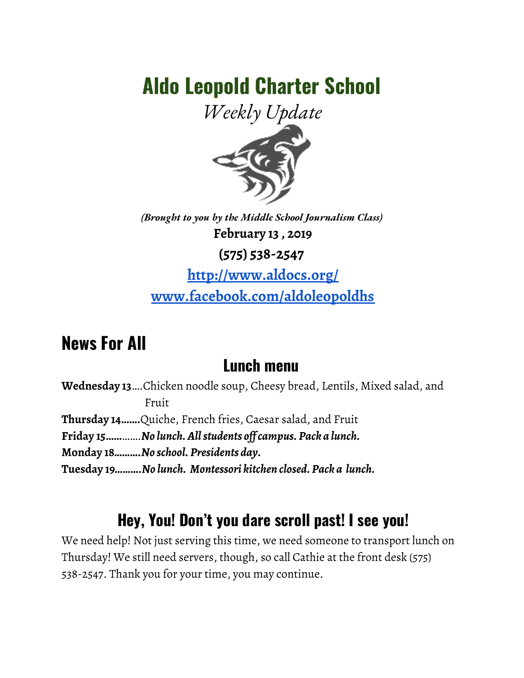# **Aldo Leopold Charter School**

*Weekly Update*



*(Brought to you by the Middle School Journalism Class)* **February 13 , 2019**

**(575) 538-2547**

**<http://www.aldocs.org/> [www.facebook.com/aldoleopoldhs](http://www.facebook.com/aldoleopoldhs)**

## **News For All**

### **Lunch menu**

**Wednesday 13**….Chicken noodle soup, Cheesy bread, Lentils, Mixed salad, and Fruit **Thursday 14…….**Quiche, French fries, Caesar salad, and Fruit **Friday 15……**…….*No lunch.Allstudents of campus. Pack a lunch.* **Monday 18***……….No school. Presidents day.* **Tuesday 19***……….No lunch. Montessori kitchen closed. Pack a lunch.*

## **Hey, You! Don't you dare scroll past! I see you!**

We need help! Not just serving this time, we need someone to transport lunch on Thursday! We still need servers, though, so call Cathie at the front desk (575) 538-2547. Thank you for your time, you may continue.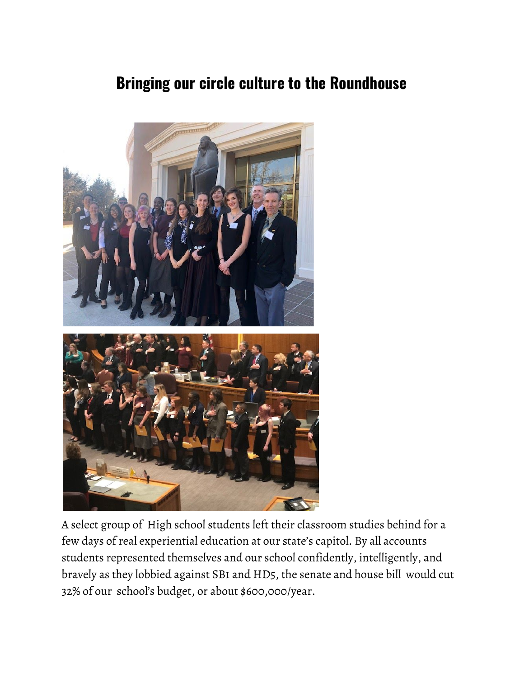### **Bringing our circle culture to the Roundhouse**



A select group of High school students left their classroom studies behind for a few days of real experiential education at our state's capitol. By all accounts students represented themselves and our school confidently, intelligently, and bravely as they lobbied against SB1 and HD5, the senate and house bill would cut 32% of our school's budget, or about \$600,000/year.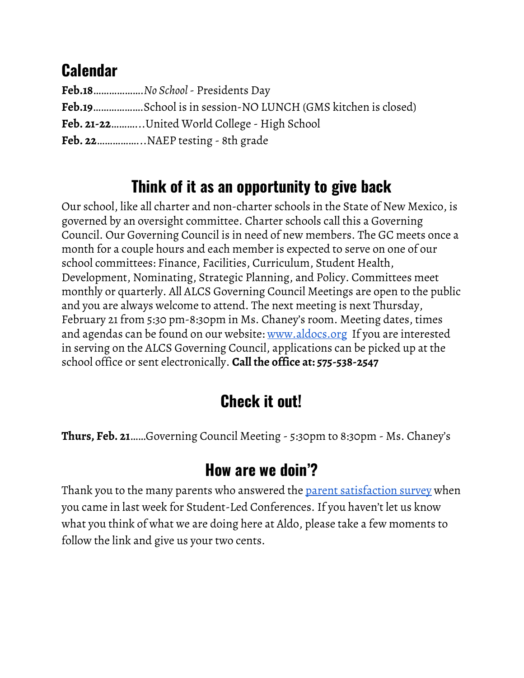## **Calendar**

| Feb.18No School - Presidents Day                                    |
|---------------------------------------------------------------------|
| <b>Feb.19</b> School is in session-NO LUNCH (GMS kitchen is closed) |
| Feb. 21-22United World College - High School                        |
|                                                                     |

## **Think of it as an opportunity to give back**

Our school, like all charter and non-charter schools in the State of New Mexico, is governed by an oversight committee. Charter schools call this a Governing Council. Our Governing Council is in need of new members. The GC meets once a month for a couple hours and each member is expected to serve on one of our school committees: Finance, Facilities, Curriculum, Student Health, Development, Nominating, Strategic Planning, and Policy. Committees meet monthly or quarterly. All ALCS Governing Council Meetings are open to the public and you are always welcome to attend. The next meeting is next Thursday, February 21 from 5:30 pm-8:30pm in Ms. Chaney's room. Meeting dates, times and agendas can be found on our website: <u>[www.aldocs.org](http://www.aldocs.org/)</u> If you are interested in serving on the ALCS Governing Council, applications can be picked up at the [sc](http://www.aldocs.org/)hool office or sent electronically. **Call the office at: 575-538-2547**

## **Check it out!**

**Thurs, Feb. 21**……Governing Council Meeting - 5:30pm to 8:30pm - Ms. Chaney's

## **How are we doin'?**

Thank you to the many parents who answered the parent [satisfaction](https://www.surveymonkey.com/r/P73ZLSM) survey when you came in last week for Student-Led Conferences. If you haven't let us know what you think of what we are doing here at Aldo, please take a few moments to follow the link and give us your two cents.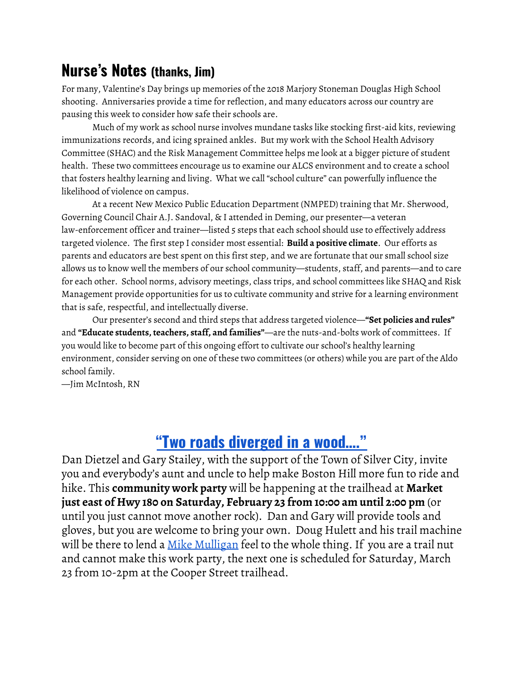#### **Nurse's Notes (thanks, Jim)**

For many, Valentine's Day brings up memories of the 2018 Marjory Stoneman Douglas High School shooting. Anniversaries provide a time for reflection, and many educators across our country are pausing this week to consider how safe their schools are.

Much of my work as school nurse involves mundane tasks like stocking first-aid kits, reviewing immunizations records, and icing sprained ankles. But my work with the School Health Advisory Committee (SHAC) and the Risk Management Committee helps me look at a bigger picture of student health. These two committees encourage us to examine our ALCS environment and to create a school that fosters healthy learning and living. What we call "school culture" can powerfully influence the likelihood of violence on campus.

At a recent New Mexico Public Education Department (NMPED) training that Mr. Sherwood, Governing Council Chair A.J. Sandoval, & I attended in Deming, our presenter—a veteran law-enforcement officer and trainer—listed 5 steps that each school should use to effectively address targeted violence. The first step I consider most essential: **Build a positive climate**. Our efforts as parents and educators are best spent on this first step, and we are fortunate that our small school size allows us to know well the members of our school community—students, staff, and parents—and to care for each other. School norms, advisory meetings, class trips, and school committees like SHAQ and Risk Management provide opportunities for us to cultivate community and strive for a learning environment that is safe, respectful, and intellectually diverse.

Our presenter's second and third steps that address targeted violence—**"Set policies and rules"** and **"Educate students, teachers, staff, and families"**—are the nuts-and-bolts work of committees. If you would like to become part of this ongoing effort to cultivate our school's healthy learning environment, consider serving on one of these two committees (or others) while you are part of the Aldo school family.

—Jim McIntosh, RN

### **"Two roads [diverged](https://www.poetryfoundation.org/poems/44272/the-road-not-taken) in a wood…."**

Dan Dietzel and Gary Stailey, with the support of the Town of Silver City, invite you and everybody's aunt and uncle to help make Boston Hill more fun to ride and hike. This **community work party** will be happening at the trailhead at **Market just east of Hwy 180 on Saturday, February 23 from 10:00 am until 2:00 pm** (or until you just cannot move another rock). Dan and Gary will provide tools and gloves, but you are welcome to bring your own. Doug Hulett and his trail machine will be there to lend a Mike [Mulligan](https://www.google.com/search?q=mike+mulligan+and+his+steam+shovel&rlz=1C1SQJL_enUS816US816&source=lnms&tbm=isch&sa=X&ved=0ahUKEwj979e367bgAhUlNn0KHZ2xCCAQ_AUIDygC&biw=1366&bih=626) feel to the whole thing. If you are a trail nut and cannot make this work party, the next one is scheduled for Saturday, March 23 from 10-2pm at the Cooper Street trailhead.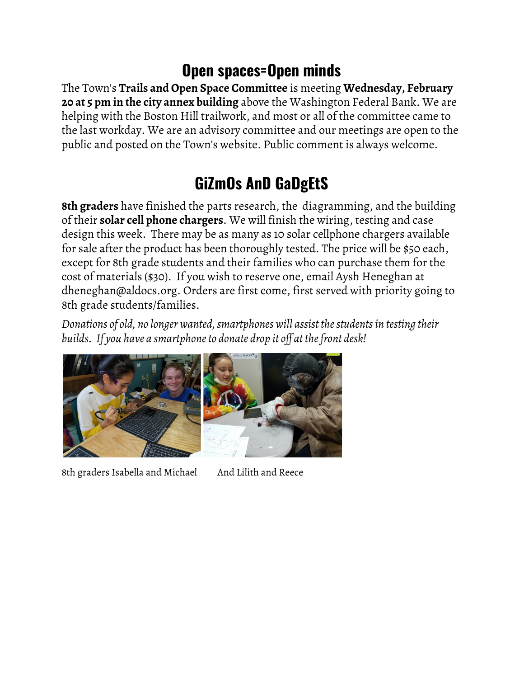## **Open spaces=Open minds**

The Town's **Trails and Open Space Committee** is meeting **Wednesday, February 20 at 5 pm in the city annex building** above the Washington Federal Bank. We are helping with the Boston Hill trailwork, and most or all of the committee came to the last workday. We are an advisory committee and our meetings are open to the public and posted on the Town's website. Public comment is always welcome.

## **GiZmOs AnD GaDgEtS**

**8th graders** have finished the parts research, the diagramming, and the building of their **solar cell phone chargers**. We will finish the wiring, testing and case design this week. There may be as many as 10 solar cellphone chargers available for sale after the product has been thoroughly tested. The price will be \$50 each, except for 8th grade students and their families who can purchase them for the cost of materials (\$30). If you wish to reserve one, email Aysh Heneghan at dheneghan@aldocs.org. Orders are first come, first served with priority going to 8th grade students/families.

*Donations of old, no longer wanted,smartphones will assist thestudentsin testing their builds. If you have a smartphoneto donate drop it of at thefront desk!*



8th graders Isabella and Michael And Lilith and Reece

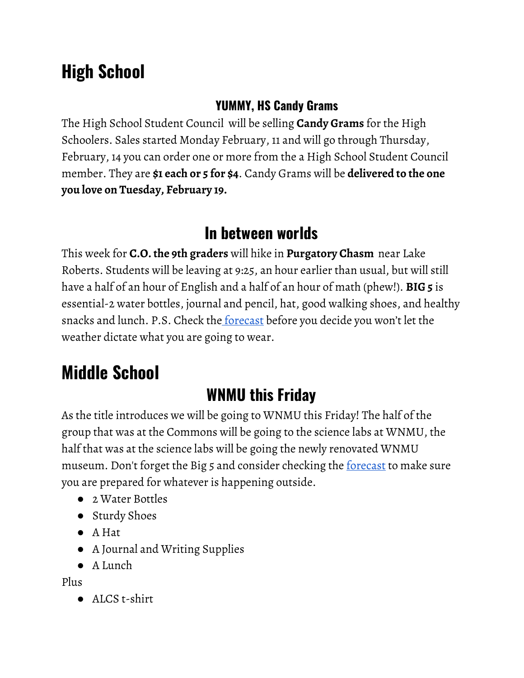## **High School**

#### **YUMMY, HS Candy Grams**

The High School Student Council will be selling **Candy Grams** for the High Schoolers. Sales started Monday February, 11 and will go through Thursday, February, 14 you can order one or more from the a High School Student Council member. They are **\$1 each or 5 for \$4**. Candy Grams will be **delivered to the one you love on Tuesday, February 19.**

## **In between worlds**

This week for **C.O. the 9th graders** will hike in **Purgatory Chasm** near Lake Roberts. Students will be leaving at 9:25, an hour earlier than usual, but will still have a half of an hour of English and a half of an hour of math (phew!). **BIG 5** is essential-2 water bottles, journal and pencil, hat, good walking shoes, and healthy snacks and lunch. P.S. Check the <u>[forecast](https://www.wunderground.com/forecast/us/nm/silver-city)</u> before you decide you won't let the weather dictate what you are going to wear.

## **Middle School**

## **WNMU this Friday**

As the title introduces we will be going to WNMU this Friday! The half of the group that was at the Commons will be going to the science labs at WNMU, the half that was at the science labs will be going the newly renovated WNMU museum. Don't forget the Big 5 and consider checking the <u>[forecast](https://www.wunderground.com/forecast/us/nm/silver-city)</u> to make sure you are prepared for whatever is happening outside.

- 2 Water Bottles
- Sturdy Shoes
- A Hat
- A Journal and Writing Supplies
- A Lunch

Plus

● ALCS t-shirt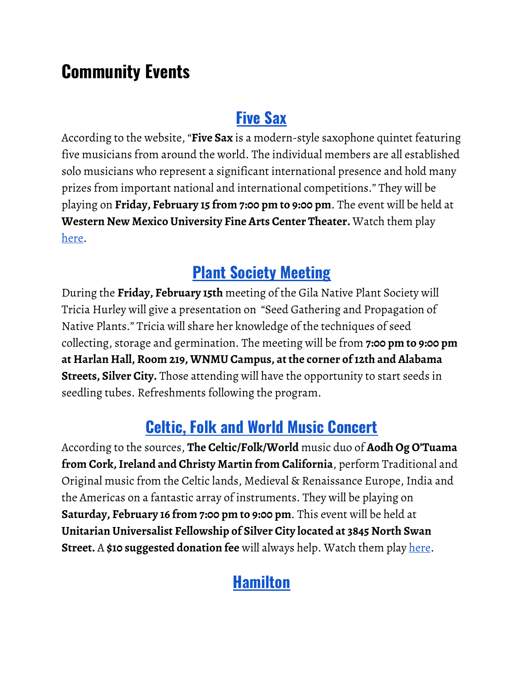## **Community Events**

### **[Five](http://www.gcconcerts.org/) Sax**

According to the website, "**Five Sax** is a modern-style saxophone quintet featuring five musicians from around the world. The individual members are all established solo musicians who represent a significant international presence and hold many prizes from important national and international competitions." They will be playing on **Friday, February 15 from 7:00 pm to 9:00 pm**. The event will be held at **Western New Mexico University Fine Arts Center Theater.** Watch them play [here.](https://www.youtube.com/watch?v=HU76r7KO9kw)

## **Plant Society [Meeting](http://gilanps.org/)**

During the **Friday, February 15th** meeting of the Gila Native Plant Society will Tricia Hurley will give a presentation on "Seed Gathering and Propagation of Native Plants." Tricia will share her knowledge of the techniques of seed collecting, storage and germination. The meeting will be from **7:00 pm to 9:00 pm at Harlan Hall, Room 219, WNMU Campus, at the corner of12th and Alabama Streets, Silver City.** Those attending will have the opportunity to start seeds in seedling tubes. Refreshments following the program.

### **Celtic, Folk and World Music [Concert](https://www.4shillingsshort.com/)**

According to the sources, **The Celtic/Folk/World** music duo of **Aodh Og O'Tuama from Cork,Ireland and Christy Martin from California**, perform Traditional and Original music from the Celtic lands, Medieval & Renaissance Europe, India and the Americas on a fantastic array of instruments. They will be playing on **Saturday, February 16 from 7:00 pm to 9:00 pm**. This event will be held at **Unitarian Universalist Fellowship of Silver City located at 3845 North Swan Street.** A **\$10 suggested donation fee** will always help. Watch them play [here](https://www.youtube.com/watch?v=-5e9zKMGP6Y).